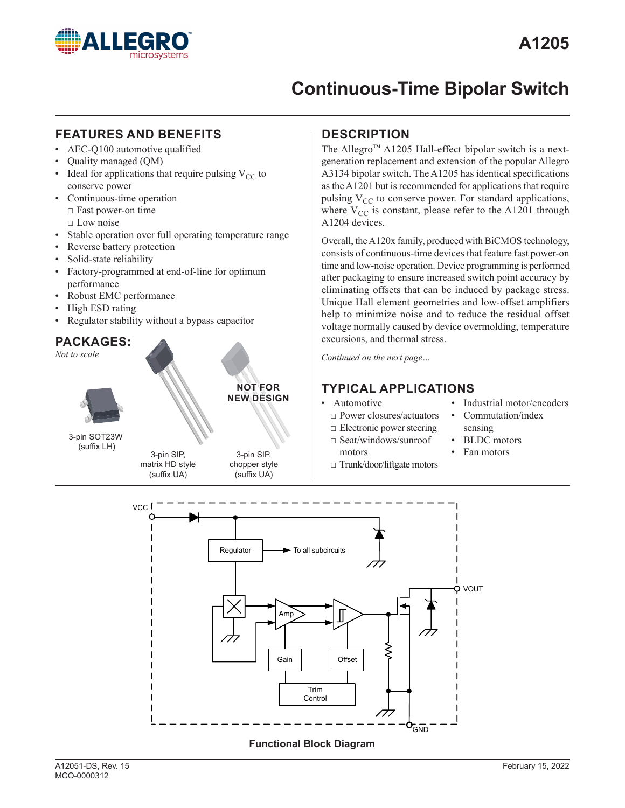

## **FEATURES AND BENEFITS IDESCRIPTION**

- AEC-Q100 automotive qualified
- Quality managed (QM)
- Ideal for applications that require pulsing  $V_{CC}$  to conserve power
- Continuous-time operation  $\Box$  Fast power-on time □ Low noise
- Stable operation over full operating temperature range
- Reverse battery protection
- Solid-state reliability
- Factory-programmed at end-of-line for optimum performance
- Robust EMC performance
- High ESD rating
- Regulator stability without a bypass capacitor

# **PACKAGES:** *Not to scale* 3-pin SOT23W (suffix LH) 3-pin SIP,

3-pin SIP, matrix HD style (suffix UA)



(suffix UA)

chopper style

The Allegro™ A1205 Hall-effect bipolar switch is a nextgeneration replacement and extension of the popular Allegro A3134 bipolar switch. The A1205 has identical specifications as the A1201 but is recommended for applications that require pulsing  $V_{CC}$  to conserve power. For standard applications, where  $V_{CC}$  is constant, please refer to the A1201 through A1204 devices.

Overall, the A120x family, produced with BiCMOS technology, consists of continuous-time devices that feature fast power-on time and low-noise operation. Device programming is performed after packaging to ensure increased switch point accuracy by eliminating offsets that can be induced by package stress. Unique Hall element geometries and low-offset amplifiers help to minimize noise and to reduce the residual offset voltage normally caused by device overmolding, temperature excursions, and thermal stress.

*Continued on the next page…*

## **TYPICAL APPLICATIONS**

#### • Automotive

- 
- □ Power closures/actuators □ Electronic power steering
- 
- □ Seat/windows/sunroof motors
- □ Trunk/door/liftgate motors
- Industrial motor/encoders • Commutation/index
- sensing
- BLDC motors
- Fan motors

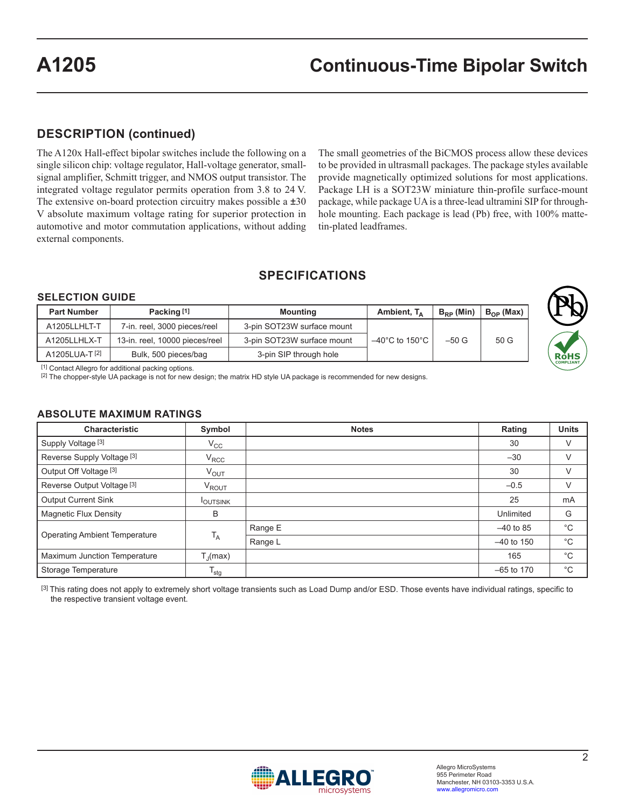## **DESCRIPTION (continued)**

The A120x Hall-effect bipolar switches include the following on a single silicon chip: voltage regulator, Hall-voltage generator, smallsignal amplifier, Schmitt trigger, and NMOS output transistor. The integrated voltage regulator permits operation from 3.8 to 24 V. The extensive on-board protection circuitry makes possible a  $\pm 30$ V absolute maximum voltage rating for superior protection in automotive and motor commutation applications, without adding external components.

The small geometries of the BiCMOS process allow these devices to be provided in ultrasmall packages. The package styles available provide magnetically optimized solutions for most applications. Package LH is a SOT23W miniature thin-profile surface-mount package, while package UA is a three-lead ultramini SIP for throughhole mounting. Each package is lead (Pb) free, with 100% mattetin-plated leadframes.

# **SPECIFICATIONS**

#### **SELECTION GUIDE**

| <b>Part Number</b> | Packing [1]                    | <b>Mounting</b>            | Ambient, $T_A$                      | $B_{\text{PD}}$ (Min) | $B_{OP}$ (Max) |
|--------------------|--------------------------------|----------------------------|-------------------------------------|-----------------------|----------------|
| A1205LLHLT-T       | 7-in. reel, 3000 pieces/reel   | 3-pin SOT23W surface mount |                                     |                       |                |
| A1205LLHLX-T       | 13-in. reel, 10000 pieces/reel | 3-pin SOT23W surface mount | $-40^{\circ}$ C to 150 $^{\circ}$ C | $-50G$                | 50G            |
| A1205LUA-T[2]      | Bulk, 500 pieces/bag           | 3-pin SIP through hole     |                                     |                       |                |



[1] Contact Allegro for additional packing options.

[2] The chopper-style UA package is not for new design; the matrix HD style UA package is recommended for new designs.

#### **ABSOLUTE MAXIMUM RATINGS**

| <b>Characteristic</b>                 | Symbol               | <b>Notes</b> | Rating       | <b>Units</b> |
|---------------------------------------|----------------------|--------------|--------------|--------------|
| Supply Voltage <sup>[3]</sup>         | $V_{CC}$             |              | 30           | V            |
| Reverse Supply Voltage <sup>[3]</sup> | $V_{RCC}$            |              | $-30$        |              |
| Output Off Voltage [3]                | $V_{OUT}$            |              | 30           | V            |
| Reverse Output Voltage [3]            | V <sub>ROUT</sub>    |              | $-0.5$       | V            |
| <b>Output Current Sink</b>            | <b>I</b> OUTSINK     |              | 25           | mA           |
| <b>Magnetic Flux Density</b>          | B                    |              | Unlimited    | G            |
|                                       |                      | Range E      | $-40$ to 85  | $^{\circ}$ C |
| <b>Operating Ambient Temperature</b>  | $T_A$                | Range L      | $-40$ to 150 | $^{\circ}$ C |
| Maximum Junction Temperature          | $T_{\text{J}}$ (max) |              | 165          | $^{\circ}$ C |
| Storage Temperature                   | $T_{\text{stg}}$     |              | $-65$ to 170 | $^{\circ}$ C |

[3] This rating does not apply to extremely short voltage transients such as Load Dump and/or ESD. Those events have individual ratings, specific to the respective transient voltage event.

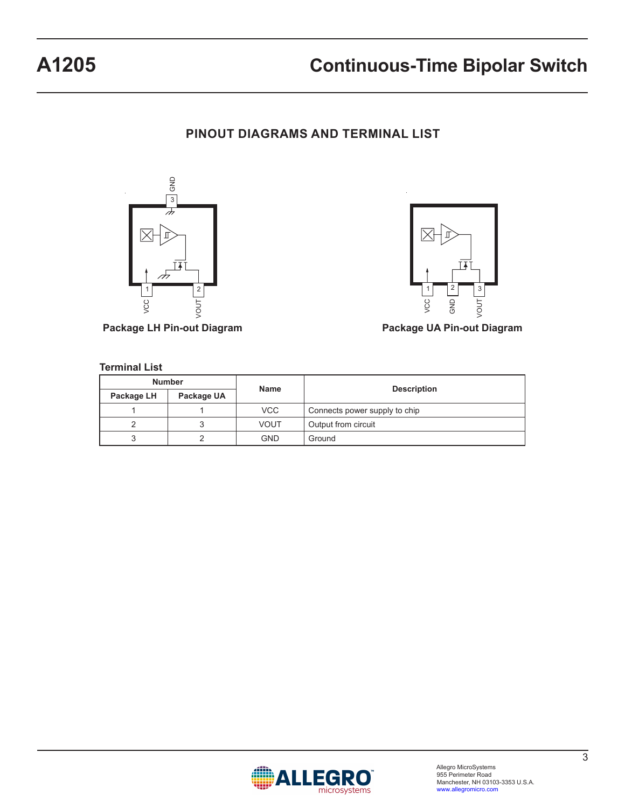# **PINOUT DIAGRAMS AND TERMINAL LIST**





**Package LH Pin-out Diagram Package UA Pin-out Diagram**

#### **Terminal List**

|            | <b>Number</b> |             |                               |  |
|------------|---------------|-------------|-------------------------------|--|
| Package LH | Package UA    | <b>Name</b> | <b>Description</b>            |  |
|            |               | VCC         | Connects power supply to chip |  |
|            |               | VOUT        | Output from circuit           |  |
|            |               | <b>GND</b>  | Ground                        |  |

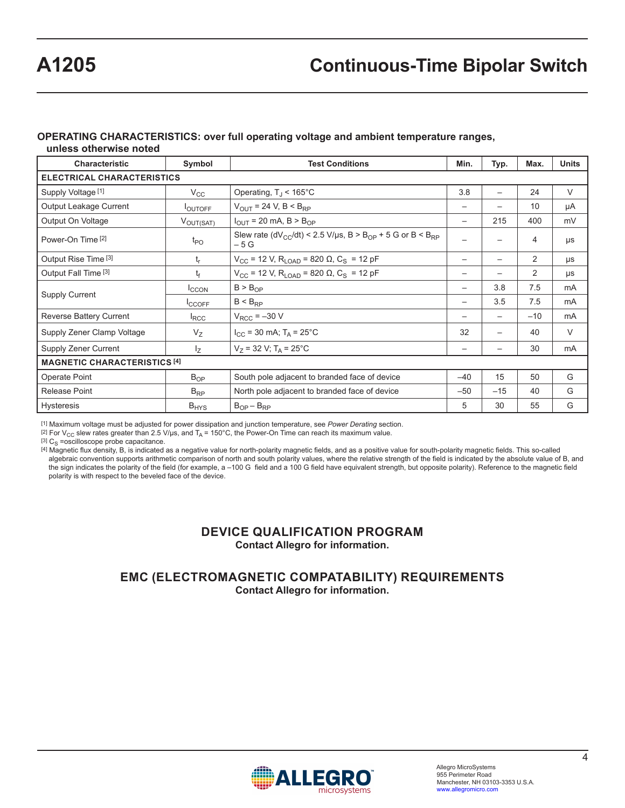# **OPERATING CHARACTERISTICS: over full operating voltage and ambient temperature ranges,**

**unless otherwise noted**

| <b>Characteristic</b>               | Symbol                | <b>Test Conditions</b>                                                                                 | Min.                     | Typ.                     | Max.  | <b>Units</b> |
|-------------------------------------|-----------------------|--------------------------------------------------------------------------------------------------------|--------------------------|--------------------------|-------|--------------|
| <b>ELECTRICAL CHARACTERISTICS</b>   |                       |                                                                                                        |                          |                          |       |              |
| Supply Voltage [1]                  | $V_{\rm CC}$          | Operating, $T_{\rm J}$ < 165°C                                                                         |                          | $\overline{\phantom{0}}$ | 24    | V            |
| Output Leakage Current              | <b>LOUTOFF</b>        | $V_{OUT}$ = 24 V, B < B <sub>RP</sub>                                                                  | $\overline{\phantom{0}}$ |                          | 10    | μA           |
| Output On Voltage                   | $V_{\text{OUT(SAT)}}$ | $I_{\text{OUT}}$ = 20 mA, B > B <sub>OP</sub>                                                          | $\overline{\phantom{m}}$ | 215                      | 400   | mV           |
| Power-On Time [2]                   | $t_{\mathsf{PO}}$     | Slew rate (dV <sub>CC</sub> /dt) < 2.5 V/us, B > B <sub>OP</sub> + 5 G or B < B <sub>RP</sub><br>$-5G$ | $\overline{\phantom{0}}$ |                          | 4     | μs           |
| Output Rise Time [3]                | t <sub>r</sub>        | $V_{CC}$ = 12 V, R <sub>LOAD</sub> = 820 Ω, C <sub>S</sub> = 12 pF                                     | $\overline{\phantom{m}}$ |                          | 2     | μs           |
| Output Fall Time <sup>[3]</sup>     | t <sub>f</sub>        | $V_{CC}$ = 12 V, R <sub>LOAD</sub> = 820 Ω, C <sub>S</sub> = 12 pF                                     | —                        |                          | 2     | μs           |
|                                     | <b>ICCON</b>          | B > B <sub>OP</sub>                                                                                    | —                        | 3.8                      | 7.5   | mA           |
| <b>Supply Current</b>               | <sup>I</sup> CCOFF    | $B < B_{\text{PD}}$                                                                                    | —                        | 3.5                      | 7.5   | mA           |
| Reverse Battery Current             | $I_{\text{RCC}}$      | $V_{RCC}$ = $-30$ V                                                                                    | —                        |                          | $-10$ | mA           |
| Supply Zener Clamp Voltage          | $V_{Z}$               | $I_{\rm CC}$ = 30 mA; T <sub>A</sub> = 25 °C                                                           | 32                       |                          | 40    | V            |
| Supply Zener Current                | $I_{Z}$               | $V_7$ = 32 V; T <sub>A</sub> = 25°C                                                                    | —                        |                          | 30    | mA           |
| <b>MAGNETIC CHARACTERISTICS [4]</b> |                       |                                                                                                        |                          |                          |       |              |
| Operate Point                       | $B_{OP}$              | South pole adjacent to branded face of device                                                          |                          | 15                       | 50    | G            |
| Release Point                       | $B_{RP}$              | North pole adjacent to branded face of device                                                          | $-50$                    | $-15$                    | 40    | G            |
| Hysteresis                          | $B_{HYS}$             | $B_{OP} - B_{RP}$                                                                                      | 5                        | 30                       | 55    | G            |

[1] Maximum voltage must be adjusted for power dissipation and junction temperature, see *Power Derating* section.

[2] For V<sub>CC</sub> slew rates greater than 2.5 V/µs, and T<sub>A</sub> = 150°C, the Power-On Time can reach its maximum value.

 $[3]$  C<sub>S</sub> =oscilloscope probe capacitance.

[4] Magnetic flux density, B, is indicated as a negative value for north-polarity magnetic fields, and as a positive value for south-polarity magnetic fields. This so-called algebraic convention supports arithmetic comparison of north and south polarity values, where the relative strength of the field is indicated by the absolute value of B, and the sign indicates the polarity of the field (for example, a –100 G field and a 100 G field have equivalent strength, but opposite polarity). Reference to the magnetic field polarity is with respect to the beveled face of the device.

### **DEVICE QUALIFICATION PROGRAM Contact Allegro for information.**

### **EMC (ELECTROMAGNETIC COMPATABILITY) REQUIREMENTS Contact Allegro for information.**

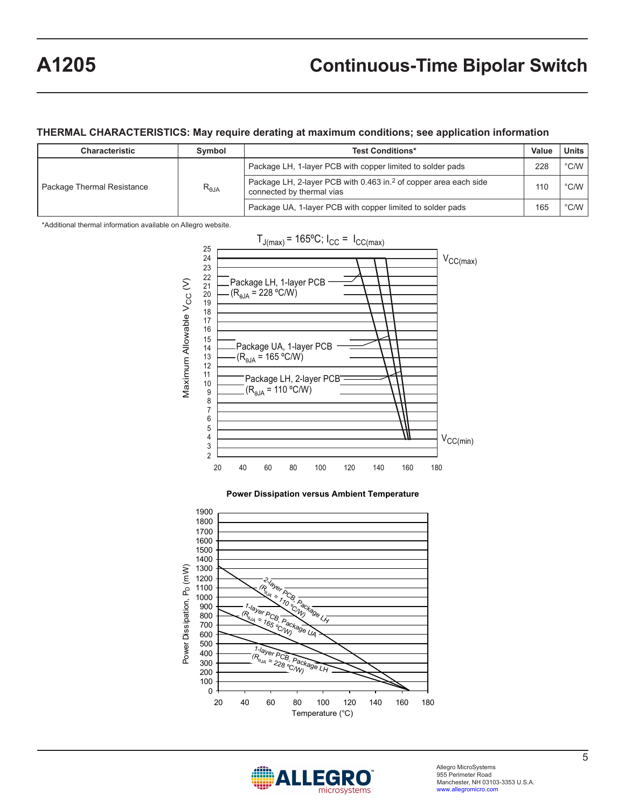#### **THERMAL CHARACTERISTICS: May require derating at maximum conditions; see application information**

| Characteristic             | Symbol          | <b>Test Conditions*</b>                                                                                   |     | <b>Units</b>  |
|----------------------------|-----------------|-----------------------------------------------------------------------------------------------------------|-----|---------------|
|                            |                 | Package LH, 1-layer PCB with copper limited to solder pads                                                |     | $\degree$ C/W |
| Package Thermal Resistance | $R_{\theta JA}$ | Package LH, 2-layer PCB with 0.463 in. <sup>2</sup> of copper area each side<br>connected by thermal vias | 110 | $\degree$ C/W |
|                            |                 | Package UA, 1-layer PCB with copper limited to solder pads                                                | 165 | $\degree$ C/W |

\*Additional thermal information available on Allegro website.



## **Power Dissipation versus Ambient Temperature**



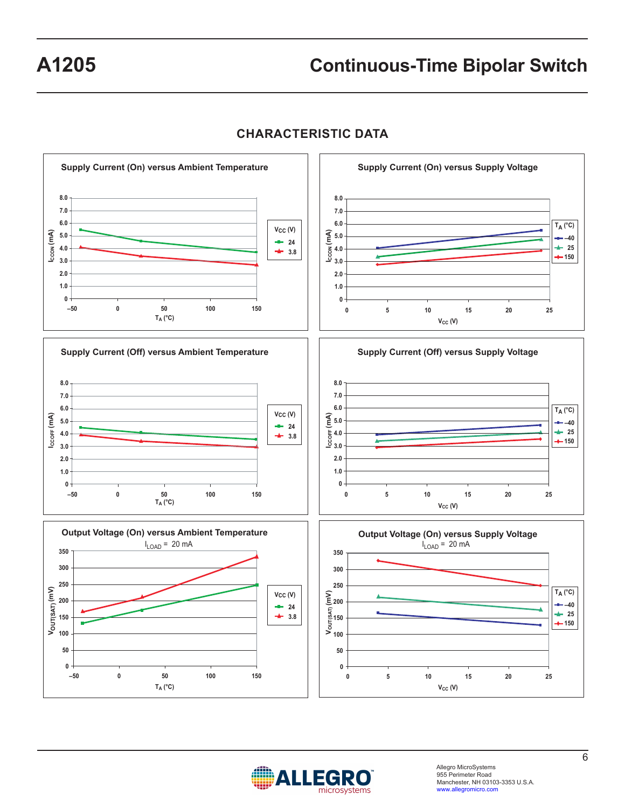

# **CHARACTERISTIC DATA**



Allegro MicroSystems 955 Perimeter Road Manchester, NH 03103-3353 U.S.A. www.allegromicro.com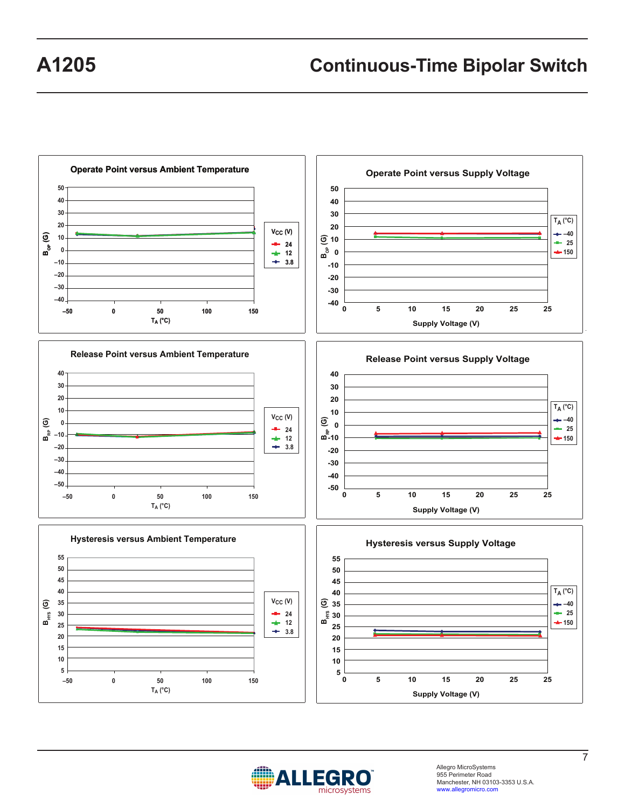



Allegro MicroSystems 955 Perimeter Road Manchester, NH 03103-3353 U.S.A. www.allegromicro.com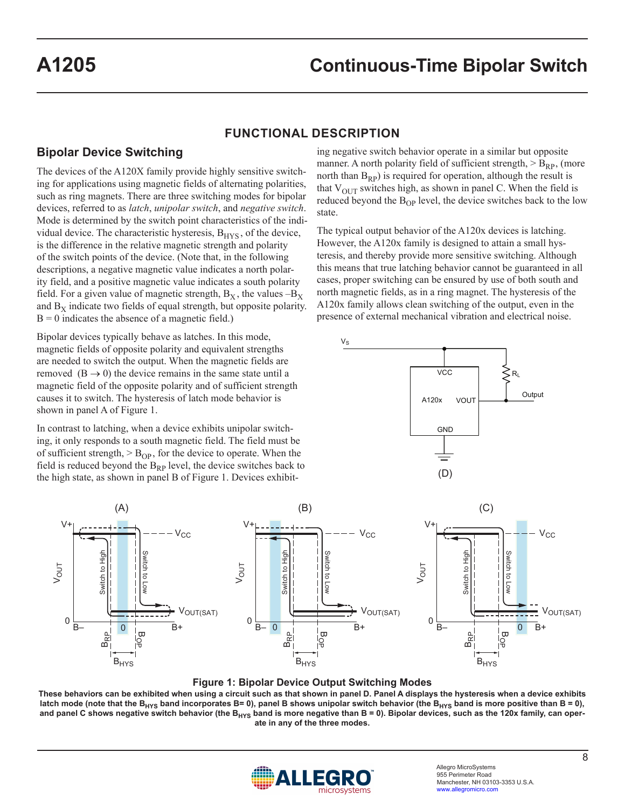## **FUNCTIONAL DESCRIPTION**

## **Bipolar Device Switching**

The devices of the A120X family provide highly sensitive switching for applications using magnetic fields of alternating polarities, such as ring magnets. There are three switching modes for bipolar devices, referred to as *latch*, *unipolar switch*, and *negative switch*. Mode is determined by the switch point characteristics of the individual device. The characteristic hysteresis,  $B<sub>HYS</sub>$ , of the device, is the difference in the relative magnetic strength and polarity of the switch points of the device. (Note that, in the following descriptions, a negative magnetic value indicates a north polarity field, and a positive magnetic value indicates a south polarity field. For a given value of magnetic strength,  $B_X$ , the values  $-B_X$ and  $B<sub>X</sub>$  indicate two fields of equal strength, but opposite polarity.  $B = 0$  indicates the absence of a magnetic field.)

Bipolar devices typically behave as latches. In this mode, magnetic fields of opposite polarity and equivalent strengths are needed to switch the output. When the magnetic fields are removed  $(B \rightarrow 0)$  the device remains in the same state until a magnetic field of the opposite polarity and of sufficient strength causes it to switch. The hysteresis of latch mode behavior is shown in panel A of Figure 1.

In contrast to latching, when a device exhibits unipolar switching, it only responds to a south magnetic field. The field must be of sufficient strength,  $>$  B<sub>OP</sub>, for the device to operate. When the field is reduced beyond the  $B_{RP}$  level, the device switches back to the high state, as shown in panel B of Figure 1. Devices exhibiting negative switch behavior operate in a similar but opposite manner. A north polarity field of sufficient strength,  $>$  B<sub>RP</sub>, (more north than  $B_{RP}$ ) is required for operation, although the result is that  $V_{\text{OUT}}$  switches high, as shown in panel C. When the field is reduced beyond the  $B_{OP}$  level, the device switches back to the low state.

The typical output behavior of the A120x devices is latching. However, the A120x family is designed to attain a small hysteresis, and thereby provide more sensitive switching. Although this means that true latching behavior cannot be guaranteed in all cases, proper switching can be ensured by use of both south and north magnetic fields, as in a ring magnet. The hysteresis of the A120x family allows clean switching of the output, even in the presence of external mechanical vibration and electrical noise.





#### **Figure 1: Bipolar Device Output Switching Modes**

**These behaviors can be exhibited when using a circuit such as that shown in panel D. Panel A displays the hysteresis when a device exhibits**  latch mode (note that the B<sub>HYS</sub> band incorporates B= 0), panel B shows unipolar switch behavior (the B<sub>HYS</sub> band is more positive than B = 0), and panel C shows negative switch behavior (the B<sub>HYS</sub> band is more negative than B = 0). Bipolar devices, such as the 120x family, can oper**ate in any of the three modes.**

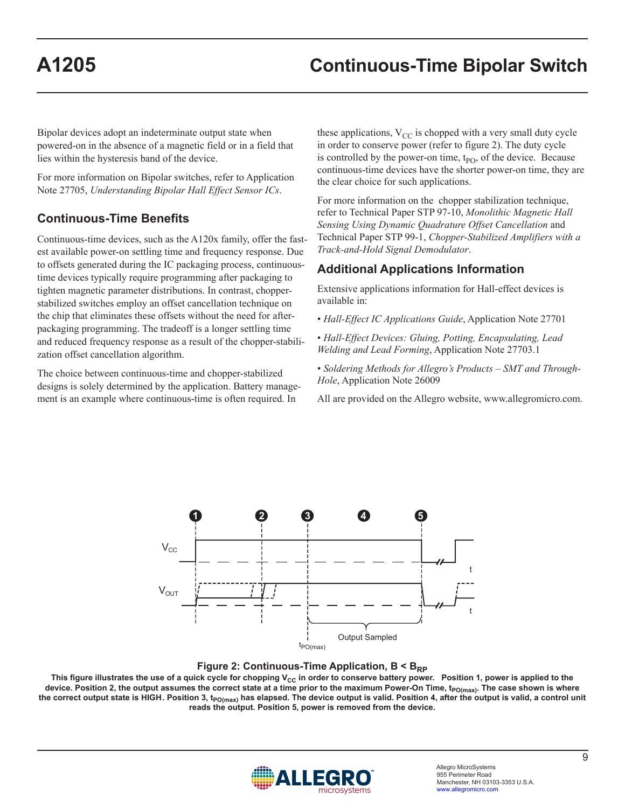Bipolar devices adopt an indeterminate output state when powered-on in the absence of a magnetic field or in a field that lies within the hysteresis band of the device.

For more information on Bipolar switches, refer to Application Note 27705, *Understanding Bipolar Hall Effect Sensor ICs*.

# **Continuous-Time Benefits**

Continuous-time devices, such as the A120x family, offer the fastest available power-on settling time and frequency response. Due to offsets generated during the IC packaging process, continuoustime devices typically require programming after packaging to tighten magnetic parameter distributions. In contrast, chopperstabilized switches employ an offset cancellation technique on the chip that eliminates these offsets without the need for afterpackaging programming. The tradeoff is a longer settling time and reduced frequency response as a result of the chopper-stabilization offset cancellation algorithm.

The choice between continuous-time and chopper-stabilized designs is solely determined by the application. Battery management is an example where continuous-time is often required. In

these applications,  $V_{CC}$  is chopped with a very small duty cycle in order to conserve power (refer to figure 2). The duty cycle is controlled by the power-on time,  $t_{PO}$ , of the device. Because continuous-time devices have the shorter power-on time, they are the clear choice for such applications.

For more information on the chopper stabilization technique, refer to Technical Paper STP 97-10, *Monolithic Magnetic Hall Sensing Using Dynamic Quadrature Offset Cancellation* and Technical Paper STP 99-1, *Chopper-Stabilized Amplifiers with a Track-and-Hold Signal Demodulator*.

## **Additional Applications Information**

Extensive applications information for Hall-effect devices is available in:

- *Hall-Effect IC Applications Guide*, Application Note 27701
- *Hall-Effect Devices: Gluing, Potting, Encapsulating, Lead Welding and Lead Forming*, Application Note 27703.1
- *Soldering Methods for Allegro's Products SMT and Through-Hole*, Application Note 26009

All are provided on the Allegro website, www.allegromicro.com.





This figure illustrates the use of a quick cycle for chopping V<sub>CC</sub> in order to conserve battery power. Position 1, power is applied to the device. Position 2, the output assumes the correct state at a time prior to the maximum Power-On Time, t<sub>PO(max)</sub>. The case shown is where the correct output state is HIGH. Position 3, t<sub>PO(max)</sub> has elapsed. The device output is valid. Position 4, after the output is valid, a control unit **reads the output. Position 5, power is removed from the device.** 

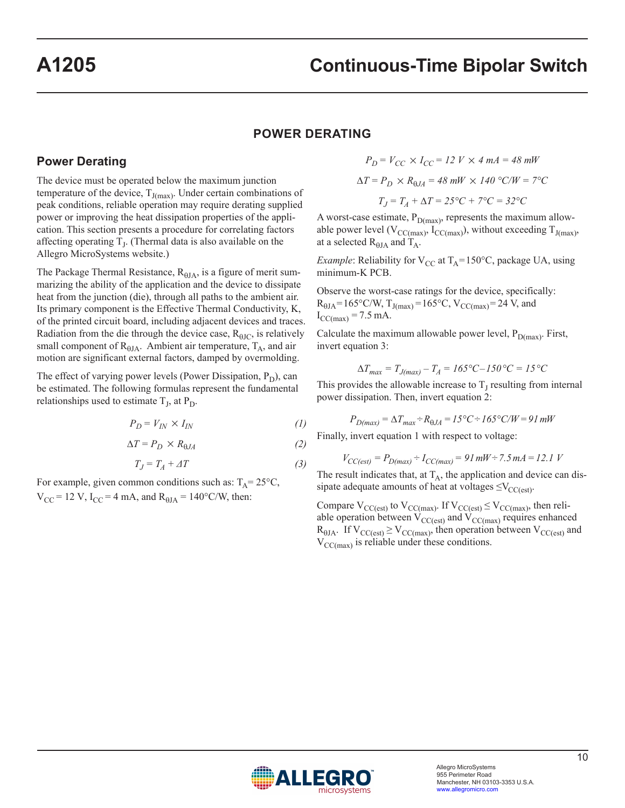### **POWER DERATING**

#### **Power Derating**

The device must be operated below the maximum junction temperature of the device,  $T_{J(max)}$ . Under certain combinations of peak conditions, reliable operation may require derating supplied power or improving the heat dissipation properties of the application. This section presents a procedure for correlating factors affecting operating  $T<sub>I</sub>$ . (Thermal data is also available on the Allegro MicroSystems website.)

The Package Thermal Resistance,  $R_{\theta JA}$ , is a figure of merit summarizing the ability of the application and the device to dissipate heat from the junction (die), through all paths to the ambient air. Its primary component is the Effective Thermal Conductivity, K, of the printed circuit board, including adjacent devices and traces. Radiation from the die through the device case,  $R_{\theta IC}$ , is relatively small component of  $R_{\theta JA}$ . Ambient air temperature,  $T_A$ , and air motion are significant external factors, damped by overmolding.

The effect of varying power levels (Power Dissipation,  $P_D$ ), can be estimated. The following formulas represent the fundamental relationships used to estimate  $T_J$ , at  $P_D$ .

$$
P_D = V_{IN} \times I_{IN} \tag{1}
$$

$$
\Delta T = P_D \times R_{\theta J A} \tag{2}
$$

$$
T_J = T_A + \Delta T \tag{3}
$$

For example, given common conditions such as:  $T_A = 25^{\circ}C$ ,  $V_{\text{CC}}$  = 12 V, I<sub>CC</sub> = 4 mA, and R<sub> $\theta$ JA</sub> = 140°C/W, then:

$$
P_D = V_{CC} \times I_{CC} = 12 \text{ } V \times 4 \text{ } mA = 48 \text{ } mW
$$
  
\n
$$
\Delta T = P_D \times R_{0JA} = 48 \text{ } mW \times 140 \text{ }^{\circ}C/W = 7^{\circ}C
$$
  
\n
$$
T_J = T_A + \Delta T = 25^{\circ}C + 7^{\circ}C = 32^{\circ}C
$$

A worst-case estimate,  $P_{D(max)}$ , represents the maximum allowable power level ( $V_{CC(max)}$ ,  $I_{CC(max)}$ ), without exceeding  $T_{J(max)}$ , at a selected  $R_{\theta I A}$  and  $T_A$ .

*Example*: Reliability for  $V_{CC}$  at  $T_A = 150^{\circ}C$ , package UA, using minimum-K PCB.

Observe the worst-case ratings for the device, specifically:  $R_{\theta JA} = 165^{\circ}C/W$ ,  $T_{J(max)} = 165^{\circ}C$ ,  $V_{CC(max)} = 24$  V, and  $I_{\text{CC(max)}} = 7.5 \text{ mA}.$ 

Calculate the maximum allowable power level,  $P_{D(max)}$ . First, invert equation 3:

$$
\Delta T_{max} = T_{J(max)} - T_A = 165^{\circ}C - 150^{\circ}C = 15^{\circ}C
$$

This provides the allowable increase to  $T_J$  resulting from internal power dissipation. Then, invert equation 2:

$$
P_{D(max)} = \Delta T_{max} \div R_{\theta JA} = 15^{\circ}\text{C} \div 165^{\circ}\text{C/W} = 91 \text{ mW}
$$

Finally, invert equation 1 with respect to voltage:

$$
V_{CC(ex)} = P_{D(max)} \div I_{CC(max)} = 91 \, \text{mW} \div 7.5 \, \text{mA} = 12.1 \, \text{V}
$$

The result indicates that, at  $T_A$ , the application and device can dissipate adequate amounts of heat at voltages  $\leq$ V<sub>CC(est)</sub>.

Compare  $V_{CC(est)}$  to  $V_{CC(max)}$ . If  $V_{CC(est)} \leq V_{CC(max)}$ , then reliable operation between  $V_{CC(est)}$  and  $V_{CC(max)}$  requires enhanced  $R_{\theta JA}$ . If  $V_{CC(est)} \ge V_{CC(max)}$ , then operation between  $V_{CC(est)}$  and  $V_{\text{CC(max)}}$  is reliable under these conditions.

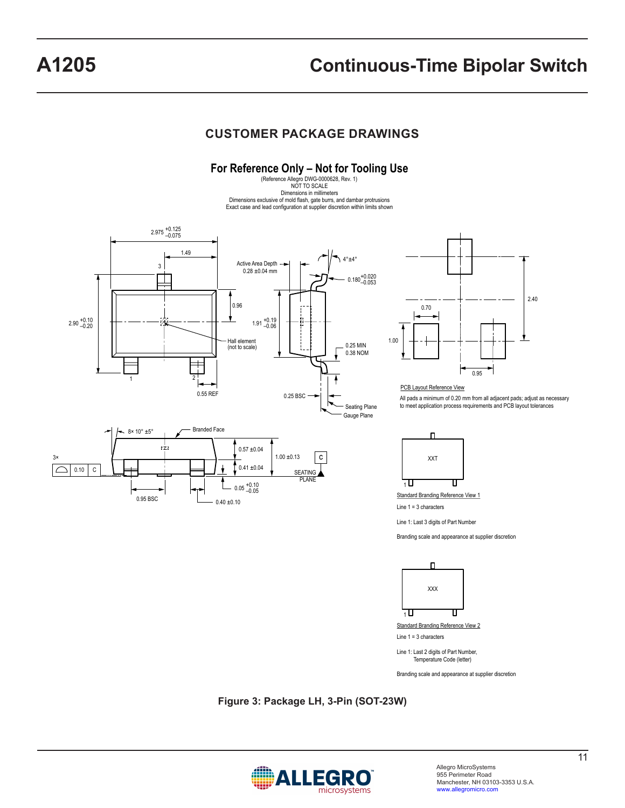# **CUSTOMER PACKAGE DRAWINGS**

For Reference Only – Not for Tooling Use<br>
Reference Allegro DWG-0000628, Rev. 1)<br>
NOT TO SCALE Dimensions in millimeters Dimensions exclusive of mold flash, gate burrs, and dambar protrusions Exact case and lead configuration at supplier discretion within limits shown



0.95 0.70 2.40

#### PCB Layout Reference View

All pads a minimum of 0.20 mm from all adjacent pads; adjust as necessary to meet application process requirements and PCB layout tolerances



Standard Branding Reference View 1

Line 1 = 3 characters

Line 1: Last 3 digits of Part Number

Branding scale and appearance at supplier discretion



Line 1: Last 2 digits of Part Number, Temperature Code (letter)

Branding scale and appearance at supplier discretion

**Figure 3: Package LH, 3-Pin (SOT-23W)**

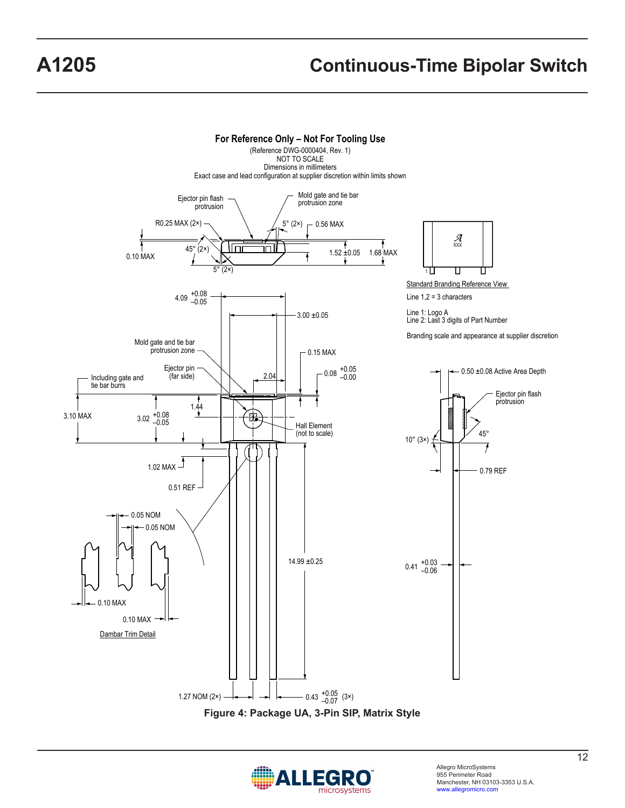

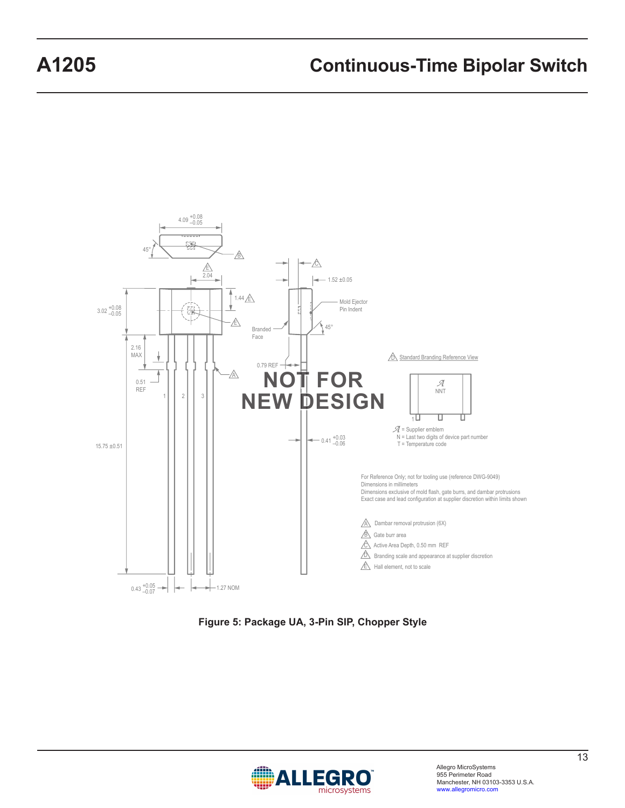

**Figure 5: Package UA, 3-Pin SIP, Chopper Style**